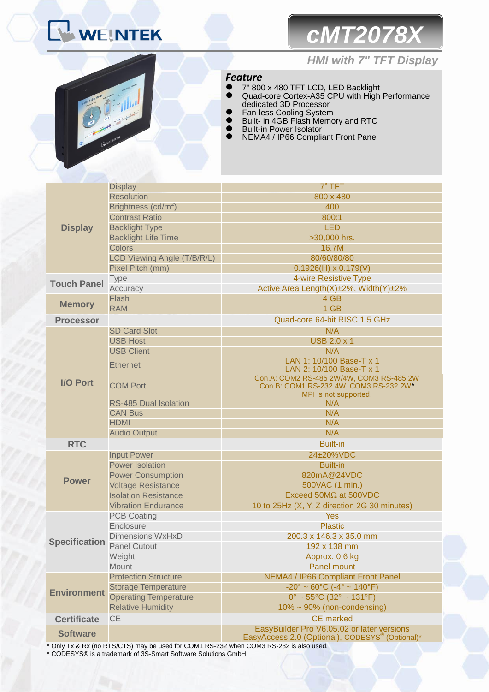# *cMT2078X*



## *HMI with 7" TFT Display*

## *Feature*

- 7" 800 x 480 TFT LCD, LED Backlight Quad-core Cortex-A35 CPU with High Performance dedicated 3D Processor
- **•** Fan-less Cooling System
- **Built- in 4GB Flash Memory and RTC**
- **•** Built-in Power Isolator
- NEMA4 / IP66 Compliant Front Panel

|                      | <b>Display</b>                  | 7" TFT                                                                                                    |  |
|----------------------|---------------------------------|-----------------------------------------------------------------------------------------------------------|--|
|                      | <b>Resolution</b>               | 800 x 480                                                                                                 |  |
|                      | Brightness (cd/m <sup>2</sup> ) | 400                                                                                                       |  |
|                      | <b>Contrast Ratio</b>           | 800:1                                                                                                     |  |
| <b>Display</b>       | <b>Backlight Type</b>           | <b>LED</b>                                                                                                |  |
|                      | <b>Backlight Life Time</b>      | >30,000 hrs.                                                                                              |  |
|                      | <b>Colors</b>                   | 16.7M                                                                                                     |  |
|                      | LCD Viewing Angle (T/B/R/L)     | 80/60/80/80                                                                                               |  |
|                      | Pixel Pitch (mm)                | $0.1926(H) \times 0.179(V)$                                                                               |  |
| <b>Touch Panel</b>   | Type                            | 4-wire Resistive Type                                                                                     |  |
|                      | Accuracy                        | Active Area Length(X)±2%, Width(Y)±2%                                                                     |  |
| <b>Memory</b>        | Flash                           | 4 GB                                                                                                      |  |
|                      | <b>RAM</b>                      | 1 GB                                                                                                      |  |
| <b>Processor</b>     |                                 | Quad-core 64-bit RISC 1.5 GHz                                                                             |  |
|                      | <b>SD Card Slot</b>             | N/A                                                                                                       |  |
|                      | <b>USB Host</b>                 | <b>USB 2.0 x 1</b>                                                                                        |  |
|                      | <b>USB Client</b>               | N/A                                                                                                       |  |
|                      | <b>Ethernet</b>                 | LAN 1: 10/100 Base-T x 1                                                                                  |  |
|                      |                                 | LAN 2: 10/100 Base-T x 1<br>Con.A: COM2 RS-485 2W/4W, COM3 RS-485 2W                                      |  |
| <b>I/O Port</b>      | <b>COM Port</b>                 | Con.B: COM1 RS-232 4W, COM3 RS-232 2W*                                                                    |  |
|                      |                                 | MPI is not supported.                                                                                     |  |
|                      | <b>RS-485 Dual Isolation</b>    | N/A                                                                                                       |  |
|                      | <b>CAN Bus</b>                  | N/A                                                                                                       |  |
|                      | <b>HDMI</b>                     | N/A                                                                                                       |  |
|                      | <b>Audio Output</b>             | N/A                                                                                                       |  |
| <b>RTC</b>           |                                 | <b>Built-in</b>                                                                                           |  |
|                      | <b>Input Power</b>              | 24±20%VDC                                                                                                 |  |
|                      | <b>Power Isolation</b>          | <b>Built-in</b>                                                                                           |  |
|                      | <b>Power Consumption</b>        | 820mA@24VDC                                                                                               |  |
| <b>Power</b>         | <b>Voltage Resistance</b>       | 500VAC (1 min.)                                                                                           |  |
|                      | <b>Isolation Resistance</b>     | Exceed 50MΩ at 500VDC                                                                                     |  |
|                      | <b>Vibration Endurance</b>      | 10 to 25Hz (X, Y, Z direction 2G 30 minutes)                                                              |  |
| <b>Specification</b> | <b>PCB Coating</b>              | Yes                                                                                                       |  |
|                      | Enclosure                       | <b>Plastic</b>                                                                                            |  |
|                      | Dimensions WxHxD                | 200.3 x 146.3 x 35.0 mm                                                                                   |  |
|                      | Panel Cutout                    | 192 x 138 mm                                                                                              |  |
|                      | Weight                          | Approx. 0.6 kg                                                                                            |  |
|                      | Mount                           | <b>Panel mount</b>                                                                                        |  |
|                      | <b>Protection Structure</b>     | NEMA4 / IP66 Compliant Front Panel                                                                        |  |
| <b>Environment</b>   | <b>Storage Temperature</b>      | $-20^{\circ} \sim 60^{\circ}$ C ( $-4^{\circ} \sim 140^{\circ}$ F)                                        |  |
|                      | <b>Operating Temperature</b>    | $0^{\circ}$ ~ 55°C (32° ~ 131°F)                                                                          |  |
|                      | <b>Relative Humidity</b>        | 10% ~ 90% (non-condensing)                                                                                |  |
| <b>Certificate</b>   | <b>CE</b><br><b>CE</b> marked   |                                                                                                           |  |
| <b>Software</b>      |                                 | EasyBuilder Pro V6.05.02 or later versions<br>EasyAccess 2.0 (Optional), CODESYS <sup>®</sup> (Optional)* |  |
|                      |                                 |                                                                                                           |  |

\* Only Tx & Rx (no RTS/CTS) may be used for COM1 RS-232 when COM3 RS-232 is also used.

\* CODESYS® is a trademark of 3S-Smart Software Solutions GmbH.